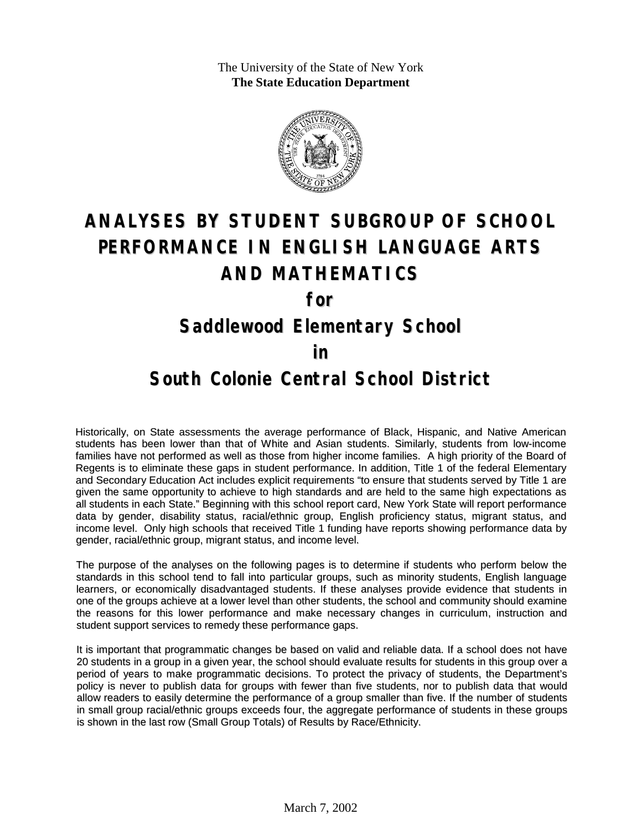The University of the State of New York **The State Education Department**



# **ANALYSES BY STUDENT SUBGROUP OF SCHOOL PERFORMANCE IN ENGLISH LANGUAGE ARTS AND MATHEMATICS**

**for**

#### **Saddlewood Elementary School**

#### **in**

### **South Colonie Central School District**

Historically, on State assessments the average performance of Black, Hispanic, and Native American students has been lower than that of White and Asian students. Similarly, students from low-income families have not performed as well as those from higher income families. A high priority of the Board of Regents is to eliminate these gaps in student performance. In addition, Title 1 of the federal Elementary and Secondary Education Act includes explicit requirements "to ensure that students served by Title 1 are given the same opportunity to achieve to high standards and are held to the same high expectations as all students in each State." Beginning with this school report card, New York State will report performance data by gender, disability status, racial/ethnic group, English proficiency status, migrant status, and income level. Only high schools that received Title 1 funding have reports showing performance data by gender, racial/ethnic group, migrant status, and income level.

The purpose of the analyses on the following pages is to determine if students who perform below the standards in this school tend to fall into particular groups, such as minority students, English language learners, or economically disadvantaged students. If these analyses provide evidence that students in one of the groups achieve at a lower level than other students, the school and community should examine the reasons for this lower performance and make necessary changes in curriculum, instruction and student support services to remedy these performance gaps.

It is important that programmatic changes be based on valid and reliable data. If a school does not have 20 students in a group in a given year, the school should evaluate results for students in this group over a period of years to make programmatic decisions. To protect the privacy of students, the Department's policy is never to publish data for groups with fewer than five students, nor to publish data that would allow readers to easily determine the performance of a group smaller than five. If the number of students in small group racial/ethnic groups exceeds four, the aggregate performance of students in these groups is shown in the last row (Small Group Totals) of Results by Race/Ethnicity.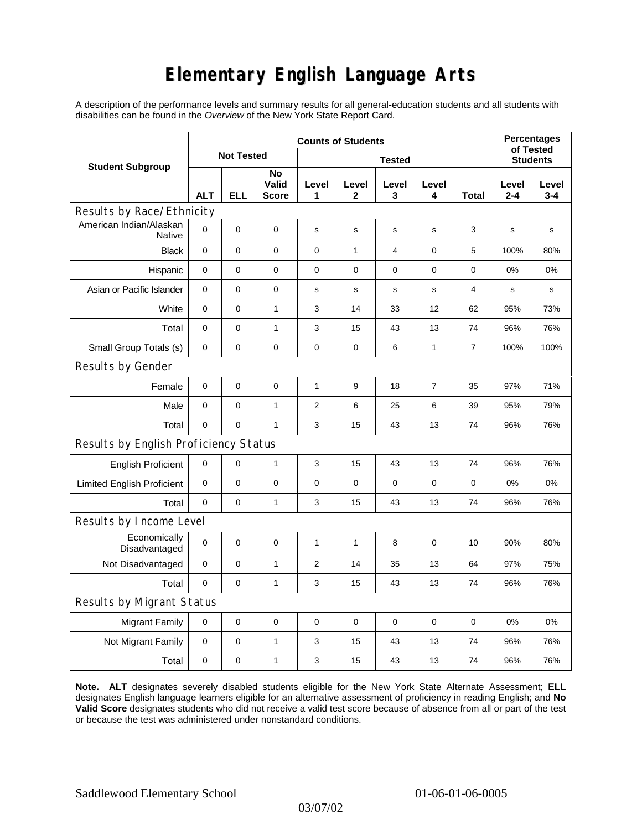## **Elementary English Language Arts**

A description of the performance levels and summary results for all general-education students and all students with disabilities can be found in the *Overview* of the New York State Report Card.

| <b>Student Subgroup</b>                  | <b>Counts of Students</b> |            |                             |                |                       |                |                |              | <b>Percentages</b><br>of Tested |                  |
|------------------------------------------|---------------------------|------------|-----------------------------|----------------|-----------------------|----------------|----------------|--------------|---------------------------------|------------------|
|                                          | <b>Not Tested</b>         |            |                             | <b>Tested</b>  |                       |                |                |              | <b>Students</b>                 |                  |
|                                          | <b>ALT</b>                | <b>ELL</b> | No<br>Valid<br><b>Score</b> | Level<br>1     | Level<br>$\mathbf{2}$ | Level<br>3     | Level<br>4     | <b>Total</b> | Level<br>$2 - 4$                | Level<br>$3 - 4$ |
| Results by Race/Ethnicity                |                           |            |                             |                |                       |                |                |              |                                 |                  |
| American Indian/Alaskan<br><b>Native</b> | $\mathbf 0$               | 0          | $\mathbf 0$                 | s              | $\mathbf s$           | s              | $\mathbf s$    | 3            | $\mathbf s$                     | s                |
| <b>Black</b>                             | 0                         | 0          | $\pmb{0}$                   | $\pmb{0}$      | $\mathbf{1}$          | $\overline{4}$ | 0              | 5            | 100%                            | 80%              |
| Hispanic                                 | 0                         | 0          | $\pmb{0}$                   | 0              | 0                     | $\mathbf 0$    | 0              | 0            | 0%                              | 0%               |
| Asian or Pacific Islander                | $\mathbf 0$               | 0          | 0                           | s              | $\mathbf s$           | ${\bf s}$      | s              | 4            | $\mathbf s$                     | s                |
| White                                    | $\mathbf 0$               | 0          | $\mathbf{1}$                | 3              | 14                    | 33             | 12             | 62           | 95%                             | 73%              |
| Total                                    | $\mathbf 0$               | 0          | 1                           | 3              | 15                    | 43             | 13             | 74           | 96%                             | 76%              |
| Small Group Totals (s)                   | 0                         | 0          | 0                           | 0              | 0                     | 6              | 1              | 7            | 100%                            | 100%             |
| Results by Gender                        |                           |            |                             |                |                       |                |                |              |                                 |                  |
| Female                                   | $\mathbf 0$               | 0          | $\pmb{0}$                   | 1              | 9                     | 18             | $\overline{7}$ | 35           | 97%                             | 71%              |
| Male                                     | $\mathbf 0$               | 0          | 1                           | $\overline{c}$ | 6                     | 25             | 6              | 39           | 95%                             | 79%              |
| Total                                    | $\mathbf 0$               | 0          | $\mathbf{1}$                | 3              | 15                    | 43             | 13             | 74           | 96%                             | 76%              |
| Results by English Proficiency Status    |                           |            |                             |                |                       |                |                |              |                                 |                  |
| <b>English Proficient</b>                | 0                         | 0          | $\mathbf{1}$                | 3              | 15                    | 43             | 13             | 74           | 96%                             | 76%              |
| <b>Limited English Proficient</b>        | $\mathbf 0$               | 0          | $\pmb{0}$                   | $\pmb{0}$      | 0                     | $\mathbf 0$    | 0              | 0            | 0%                              | 0%               |
| Total                                    | $\mathbf 0$               | 0          | $\mathbf{1}$                | 3              | 15                    | 43             | 13             | 74           | 96%                             | 76%              |
| Results by Income Level                  |                           |            |                             |                |                       |                |                |              |                                 |                  |
| Economically<br>Disadvantaged            | $\pmb{0}$                 | 0          | $\mathbf 0$                 | $\mathbf{1}$   | 1                     | 8              | 0              | 10           | 90%                             | 80%              |
| Not Disadvantaged                        | 0                         | 0          | $\mathbf{1}$                | $\overline{2}$ | 14                    | 35             | 13             | 64           | 97%                             | 75%              |
| Total                                    | $\mathbf 0$               | 0          | 1                           | 3              | 15                    | 43             | 13             | 74           | 96%                             | 76%              |
| Results by Migrant Status                |                           |            |                             |                |                       |                |                |              |                                 |                  |
| <b>Migrant Family</b>                    | 0                         | 0          | $\pmb{0}$                   | $\pmb{0}$      | 0                     | $\mathbf 0$    | 0              | 0            | 0%                              | 0%               |
| Not Migrant Family                       | $\mathbf 0$               | 0          | $\mathbf{1}$                | 3              | 15                    | 43             | 13             | 74           | 96%                             | 76%              |
| Total                                    | 0                         | 0          | $\mathbf{1}$                | 3              | 15                    | 43             | 13             | 74           | 96%                             | 76%              |

**Note. ALT** designates severely disabled students eligible for the New York State Alternate Assessment; **ELL** designates English language learners eligible for an alternative assessment of proficiency in reading English; and **No Valid Score** designates students who did not receive a valid test score because of absence from all or part of the test or because the test was administered under nonstandard conditions.

03/07/02